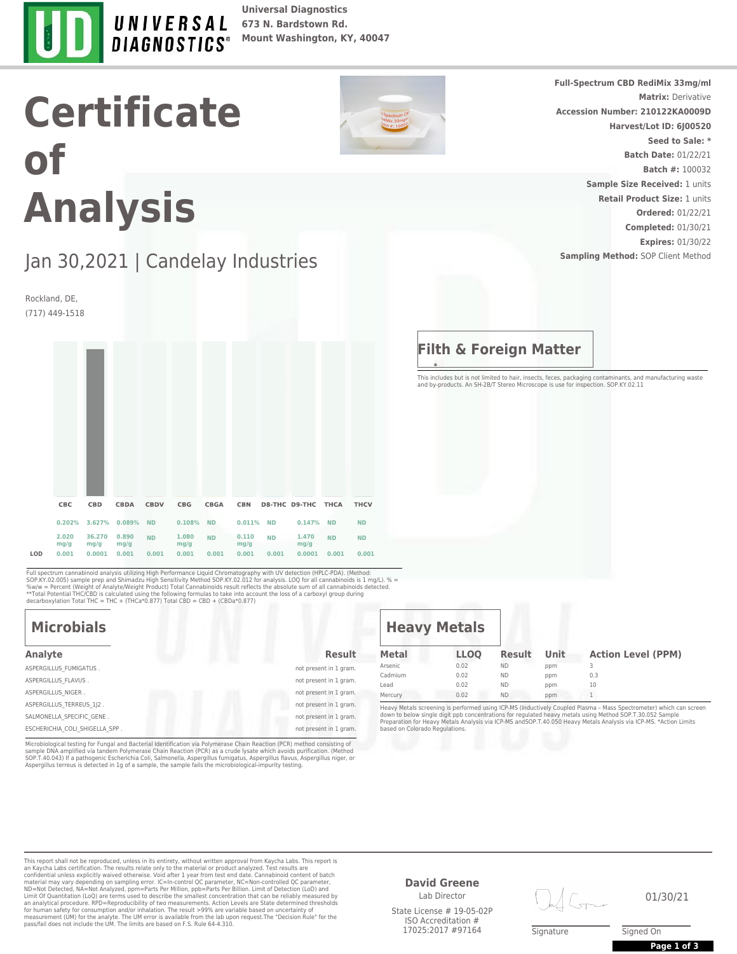

**Universal Diagnostics Mount Washington, KY, 40047 673 N. Bardstown Rd.**

# **Certificate of Analysis**



**Sampling Method: SOP Client Method Full-Spectrum CBD RediMix 33mg/ml Sample Size Received:** 1 units **Retail Product Size:** 1 units **Batch #:** 100032 **Expires:** 01/30/22 **Ordered:** 01/22/21 **Matrix:** Derivative **Seed to Sale: \* Completed:** 01/30/21 **Accession Number: 210122KA0009D Batch Date:** 01/22/21 **Harvest/Lot ID: 6J00520**

## Jan 30,2021 | Candelay Industries

Rockland, DE, (717) 449-1518

|     | CBC           | CBD            | CBDA          | CBDV      | CBG           | CBGA      | <b>CBN</b>    | D8-THC D9-THC |               | THCA      | <b>THCV</b> |
|-----|---------------|----------------|---------------|-----------|---------------|-----------|---------------|---------------|---------------|-----------|-------------|
|     | 0.202%        | 3.627%         | 0.089%        | <b>ND</b> | 0.108%        | <b>ND</b> | 0.011%        | <b>ND</b>     | 0.147%        | <b>ND</b> | <b>ND</b>   |
|     | 2.020<br>mg/g | 36.270<br>mg/g | 0.890<br>mg/g | <b>ND</b> | 1.080<br>mg/g | <b>ND</b> | 0.110<br>mg/g | <b>ND</b>     | 1.470<br>mg/g | <b>ND</b> | <b>ND</b>   |
| LOD | 0.001         | 0.0001         | 0.001         | 0.001     | 0.001         | 0.001     | 0.001         | 0.001         | 0.0001        | 0.001     | 0.001       |

Full spectrum cannabinoid analysis utilizing High Performance Liquid Chromatography with UV detection (HPLC-PDA). (Method: SOP.KY.02.005) sample prep and Shimadzu High Sensitivity Method SOP.KY.02.012 for analysis. LOQ for all cannabinoids is 1 mg/L). % =<br>%w/w = Percent (Weight of Analyte/Weight Product) Total Cannabinoids result reflects the

### **Microbials**

| Analyte                        | <b>Result</b>          |
|--------------------------------|------------------------|
| ASPERGILLUS FUMIGATUS.         | not present in 1 gram. |
| ASPERGILLUS FLAVUS.            | not present in 1 gram. |
| ASPERGILLUS NIGER.             | not present in 1 gram. |
| ASPERGILLUS TERREUS 1 2.       | not present in 1 gram. |
| SALMONELLA SPECIFIC GENE.      | not present in 1 gram. |
| ESCHERICHIA COLI SHIGELLA SPP. | not present in 1 gram. |

Microbiological testing for Fungal and Bacterial Identification via Polymerase Chain Reaction (PCR) method consisting of<br>sample DNA amplified via tandem Polymerase Chain Reaction (PCR) as a crude lysate which avoids purifi SOP.T.40.043) If a pathogenic Escherichia Coli, Salmonella, Aspergillus fumigatus, Aspergillus flavus, Aspergillus niger, or<br>Aspergillus terreus is detected in 1g of a sample, the sample fails the microbiological-impurity

## **Filth & Foreign Matter**

This includes but is not limited to hair, insects, feces, packaging contaminants, and manufacturing waste and by-products. An SH-2B/T Stereo Microscope is use for inspection. SOP.KY.02.11

## **Heavy Metals**

| <b>Metal</b> | <b>LLOO</b> | <b>Result</b> | Unit | <b>Action Level (PPM)</b> |
|--------------|-------------|---------------|------|---------------------------|
| Arsenic      | 0.02        | <b>ND</b>     | ppm  |                           |
| Cadmium      | 0.02        | ND.           | ppm  | 0.3                       |
| Lead         | 0.02        | ND.           | ppm  | 10                        |
| Mercury      | 0.02        | ND.           | ppm  |                           |

Heavy Metals screening is performed using ICP-MS (Inductively Coupled Plasma - Mass Spectrometer) which can screen<br>down to below single digit ppb concentrations for regulated heavy metals using Method SOP.T.30.052 Sample<br>P

This report shall not be reproduced, unless in its entirety, without written approval from Kaycha Labs. This report is<br>an Kaycha Labs certification. The results relate only to the material or product analyzed. Test results material may vary depending on sampling error. IC=In-control QC parameter, NC=Non-controlled QC parameter,<br>ND=Not Detected, NA=Not Analyzed, ppm=Parts Per Million, ppb=Parts Per Billion. Limit of Detection (LoD) and<br>Limit measurement (UM) for the analyte. The UM error is available from the lab upon request.The "Decision Rule" for the pass/fail does not include the UM. The limits are based on F.S. Rule 64-4.310.

#### **David Greene** Lab Director

State License # 19-05-02P ISO Accreditation #

01/30/21

17025:2017 #97164 Signature Signature Signed On

**Page 1 of 3**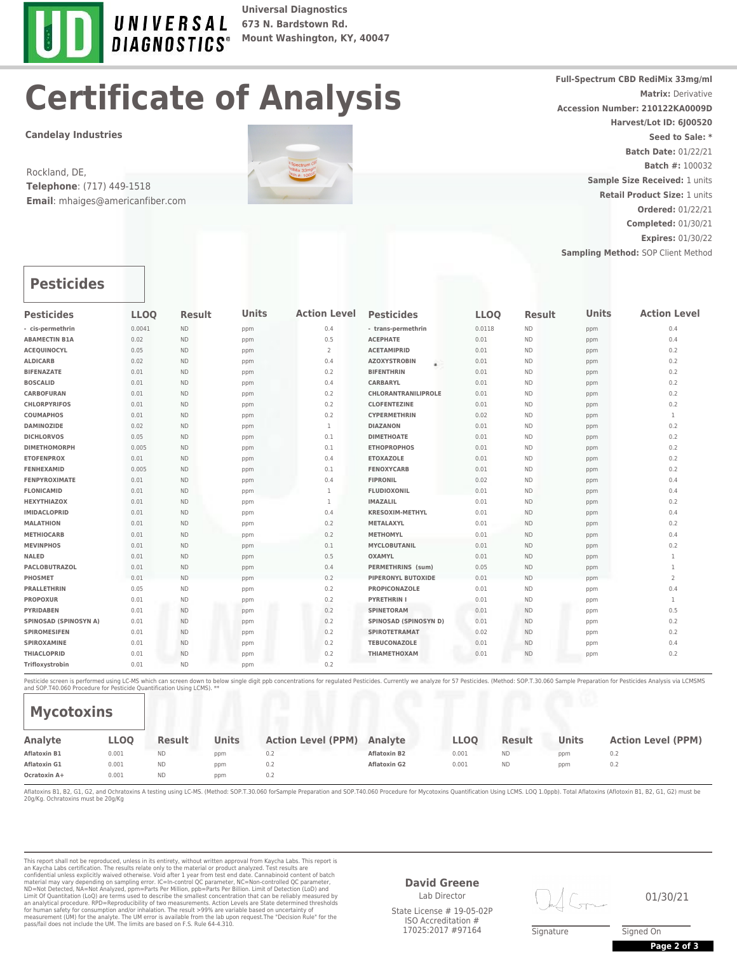

**Universal Diagnostics Mount Washington, KY, 40047 673 N. Bardstown Rd.**

## **Certificate of Analysis**

**Candelay Industries**

Rockland, DE, **Telephone**: (717) 449-1518 **Email**: mhaiges@americanfiber.com



**Sampling Method: SOP Client Method Full-Spectrum CBD RediMix 33mg/ml Sample Size Received:** 1 units **Retail Product Size:** 1 units **Batch #:** 100032 **Expires:** 01/30/22 **Ordered:** 01/22/21 **Matrix:** Derivative **Seed to Sale: \* Completed:** 01/30/21 **Accession Number: 210122KA0009D Batch Date:** 01/22/21 **Harvest/Lot ID: 6J00520**

### **Pesticides**

| <b>Pesticides</b>     | <b>LLOO</b> | <b>Result</b> | <b>Units</b> | <b>Action Level</b> | <b>Pesticides</b>        | <b>LLOQ</b> | <b>Result</b> | <b>Units</b> | <b>Action Level</b> |
|-----------------------|-------------|---------------|--------------|---------------------|--------------------------|-------------|---------------|--------------|---------------------|
| - cis-permethrin      | 0.0041      | <b>ND</b>     | ppm          | 0.4                 | - trans-permethrin       | 0.0118      | <b>ND</b>     | ppm          | 0.4                 |
| <b>ABAMECTIN B1A</b>  | 0.02        | <b>ND</b>     | ppm          | 0.5                 | <b>ACEPHATE</b>          | 0.01        | <b>ND</b>     | ppm          | 0.4                 |
| <b>ACEQUINOCYL</b>    | 0.05        | <b>ND</b>     | ppm          | $\overline{2}$      | <b>ACETAMIPRID</b>       | 0.01        | <b>ND</b>     | ppm          | 0.2                 |
| <b>ALDICARB</b>       | 0.02        | <b>ND</b>     | ppm          | 0.4                 | <b>AZOXYSTROBIN</b><br>٠ | 0.01        | <b>ND</b>     | ppm          | 0.2                 |
| <b>BIFENAZATE</b>     | 0.01        | <b>ND</b>     | ppm          | 0.2                 | <b>BIFENTHRIN</b>        | 0.01        | <b>ND</b>     | ppm          | 0.2                 |
| <b>BOSCALID</b>       | 0.01        | <b>ND</b>     | ppm          | 0.4                 | <b>CARBARYL</b>          | 0.01        | <b>ND</b>     | ppm          | 0.2                 |
| CARBOFURAN            | 0.01        | <b>ND</b>     | ppm          | 0.2                 | CHLORANTRANILIPROLE      | 0.01        | <b>ND</b>     | ppm          | 0.2                 |
| <b>CHLORPYRIFOS</b>   | 0.01        | <b>ND</b>     | ppm          | 0.2                 | <b>CLOFENTEZINE</b>      | 0.01        | <b>ND</b>     | ppm          | 0.2                 |
| <b>COUMAPHOS</b>      | 0.01        | <b>ND</b>     | ppm          | 0.2                 | <b>CYPERMETHRIN</b>      | 0.02        | <b>ND</b>     | ppm          | $\mathbf{1}$        |
| <b>DAMINOZIDE</b>     | 0.02        | <b>ND</b>     | ppm          | 1                   | <b>DIAZANON</b>          | 0.01        | <b>ND</b>     | ppm          | 0.2                 |
| <b>DICHLORVOS</b>     | 0.05        | <b>ND</b>     | ppm          | 0.1                 | <b>DIMETHOATE</b>        | 0.01        | <b>ND</b>     | ppm          | 0.2                 |
| <b>DIMETHOMORPH</b>   | 0.005       | <b>ND</b>     | ppm          | 0.1                 | <b>ETHOPROPHOS</b>       | 0.01        | <b>ND</b>     | ppm          | 0.2                 |
| <b>ETOFENPROX</b>     | 0.01        | <b>ND</b>     | ppm          | 0.4                 | <b>ETOXAZOLE</b>         | 0.01        | <b>ND</b>     | ppm          | 0.2                 |
| <b>FENHEXAMID</b>     | 0.005       | <b>ND</b>     | ppm          | 0.1                 | <b>FENOXYCARB</b>        | 0.01        | <b>ND</b>     | ppm          | 0.2                 |
| <b>FENPYROXIMATE</b>  | 0.01        | <b>ND</b>     | ppm          | 0.4                 | <b>FIPRONIL</b>          | 0.02        | <b>ND</b>     | ppm          | 0.4                 |
| <b>FLONICAMID</b>     | 0.01        | <b>ND</b>     | ppm          | $\mathbf{1}$        | <b>FLUDIOXONIL</b>       | 0.01        | <b>ND</b>     | ppm          | 0.4                 |
| <b>HEXYTHIAZOX</b>    | 0.01        | <b>ND</b>     | ppm          | 1                   | <b>IMAZALIL</b>          | 0.01        | <b>ND</b>     | ppm          | 0.2                 |
| <b>IMIDACLOPRID</b>   | 0.01        | <b>ND</b>     | ppm          | 0.4                 | <b>KRESOXIM-METHYL</b>   | 0.01        | <b>ND</b>     | ppm          | 0.4                 |
| <b>MALATHION</b>      | 0.01        | <b>ND</b>     | ppm          | 0.2                 | METALAXYL                | 0.01        | <b>ND</b>     | ppm          | 0.2                 |
| <b>METHIOCARB</b>     | 0.01        | <b>ND</b>     | ppm          | 0.2                 | <b>METHOMYL</b>          | 0.01        | <b>ND</b>     | ppm          | 0.4                 |
| <b>MEVINPHOS</b>      | 0.01        | <b>ND</b>     | ppm          | 0.1                 | <b>MYCLOBUTANIL</b>      | 0.01        | <b>ND</b>     | ppm          | 0.2                 |
| <b>NALED</b>          | 0.01        | <b>ND</b>     | ppm          | 0.5                 | <b>OXAMYL</b>            | 0.01        | <b>ND</b>     | ppm          |                     |
| <b>PACLOBUTRAZOL</b>  | 0.01        | <b>ND</b>     | ppm          | 0.4                 | PERMETHRINS (sum)        | 0.05        | <b>ND</b>     | ppm          | 1                   |
| <b>PHOSMET</b>        | 0.01        | <b>ND</b>     | ppm          | 0.2                 | PIPERONYL BUTOXIDE       | 0.01        | <b>ND</b>     | ppm          | $\overline{2}$      |
| <b>PRALLETHRIN</b>    | 0.05        | <b>ND</b>     | ppm          | 0.2                 | <b>PROPICONAZOLE</b>     | 0.01        | <b>ND</b>     | ppm          | 0.4                 |
| <b>PROPOXUR</b>       | 0.01        | <b>ND</b>     | ppm          | 0.2                 | <b>PYRETHRIN I</b>       | 0.01        | <b>ND</b>     | ppm          | $\mathbf{1}$        |
| <b>PYRIDABEN</b>      | 0.01        | <b>ND</b>     | ppm          | 0.2                 | <b>SPINETORAM</b>        | 0.01        | <b>ND</b>     | ppm          | 0.5                 |
| SPINOSAD (SPINOSYN A) | 0.01        | <b>ND</b>     | ppm          | 0.2                 | SPINOSAD (SPINOSYN D)    | 0.01        | <b>ND</b>     | ppm          | 0.2                 |
| <b>SPIROMESIFEN</b>   | 0.01        | <b>ND</b>     | ppm          | 0.2                 | SPIROTETRAMAT            | 0.02        | <b>ND</b>     | ppm          | 0.2                 |
| SPIROXAMINE           | 0.01        | <b>ND</b>     | ppm          | 0.2                 | <b>TEBUCONAZOLE</b>      | 0.01        | <b>ND</b>     | ppm          | 0.4                 |
| THIACLOPRID           | 0.01        | <b>ND</b>     | ppm          | 0.2                 | ΤΗΙΑΜΕΤΗΟΧΑΜ             | 0.01        | <b>ND</b>     | ppm          | 0.2                 |
| Trifloxystrobin       | 0.01        | <b>ND</b>     | ppm          | 0.2                 |                          |             |               |              |                     |

Pesticide screen is performed using LC-MS which can screen down to below single digit ppb concentrations for regulated Pesticides. Currently we analyze for 57 Pesticides. (Method: SOP.T.30.060 Sample Preparation for Pestic

| <b>Mycotoxins</b>   |             |               |              |                           |                     |             |               |              |                           |
|---------------------|-------------|---------------|--------------|---------------------------|---------------------|-------------|---------------|--------------|---------------------------|
| Analyte             | <b>LLOO</b> | <b>Result</b> | <b>Units</b> | <b>Action Level (PPM)</b> | Analyte             | <b>LLOO</b> | <b>Result</b> | <b>Units</b> | <b>Action Level (PPM)</b> |
| <b>Aflatoxin B1</b> | 0.001       | <b>ND</b>     | ppm          | 0.2                       | <b>Aflatoxin B2</b> | 0.001       | <b>ND</b>     | ppm          | 0.2                       |
| Aflatoxin G1        | 0.001       | <b>ND</b>     | ppm          | 0.2                       | <b>Aflatoxin G2</b> | 0.001       | <b>ND</b>     | ppm          | 0.2                       |
| Ocratoxin A+        | 0.001       | <b>ND</b>     | ppm          | 0.2                       |                     |             |               |              |                           |

Aflatoxins B1, B2, G1, G2, and Ochratoxins A testing using LC-MS. (Method: SOP.T.30.060 forSample Preparation and SOP.T40.060 Procedure for Mycotoxins Quantification Using LCMS. LOQ 1.0ppb). Total Aflatoxins (Aflotoxin B1, 20g/Kg. Ochratoxins must be 20g/Kg

This report shall not be reproduced, unless in its entirety, without written approval from Kaycha Labs. This report is<br>an Kaycha Labs certification. The results relate only to the material or product analyzed. Test results measurement (UM) for the analyte. The UM error is available from the lab upon request.The "Decision Rule" for the pass/fail does not include the UM. The limits are based on F.S. Rule 64-4.310.

#### **David Greene**

Lab Director State License # 19-05-02P ISO Accreditation #

01/30/21

17025:2017 #97164 Signature Signature Signed On

**Page 2 of 3**